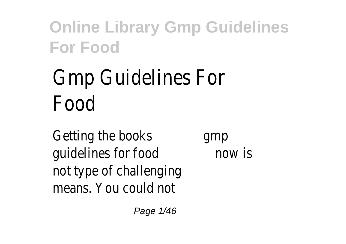# Gmp Guidelines For Food

Getting the books gmp quidelines for food now is not type of challenging means. You could not

Page 1/46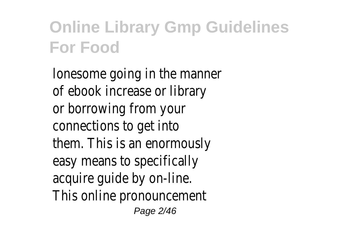lonesome going in the manner of ebook increase or library or borrowing from your connections to get into them. This is an enormously easy means to specifically acquire guide by on-line. This online pronouncement Page 2/46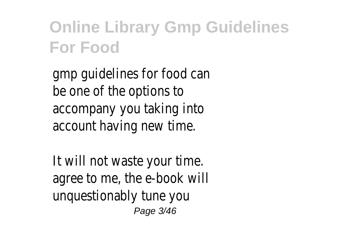gmp guidelines for food can be one of the options to accompany you taking into account having new time.

It will not waste your time. agree to me, the e-book will unquestionably tune you Page 3/46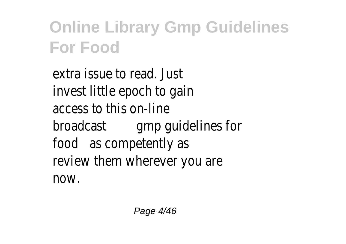extra issue to read. Just invest little epoch to gain access to this on-line broadcast gmp guidelines for food as competently as review them wherever you are now.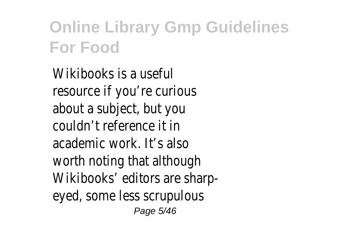Wikibooks is a useful resource if you're curious about a subject, but you couldn't reference it in academic work. It's also worth noting that although Wikibooks' editors are sharpeyed, some less scrupulous Page 5/46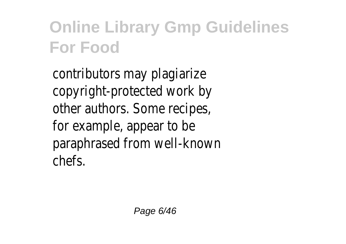contributors may plagiarize copyright-protected work by other authors. Some recipes, for example, appear to be paraphrased from well-known chefs.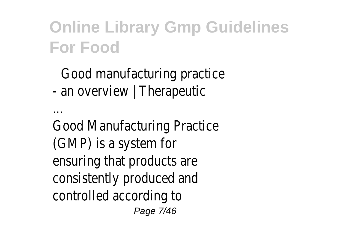#### Good manufacturing practice - an overview | Therapeutic

...

Good Manufacturing Practice (GMP) is a system for ensuring that products are consistently produced and controlled according to Page 7/46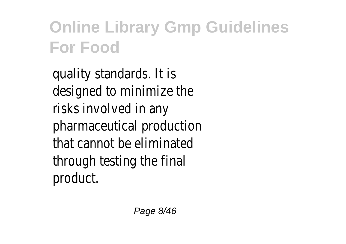quality standards. It is designed to minimize the risks involved in any pharmaceutical production that cannot be eliminated through testing the final product.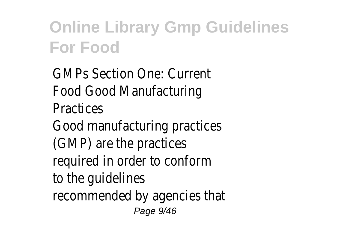GMPs Section One: Current Food Good Manufacturing **Practices** Good manufacturing practices (GMP) are the practices required in order to conform to the guidelines recommended by agencies that Page 9/46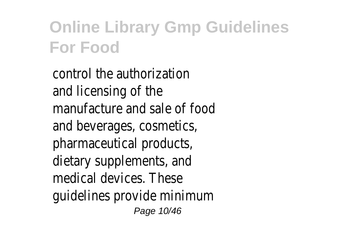control the authorization and licensing of the manufacture and sale of food and beverages, cosmetics, pharmaceutical products, dietary supplements, and medical devices. These guidelines provide minimum Page 10/46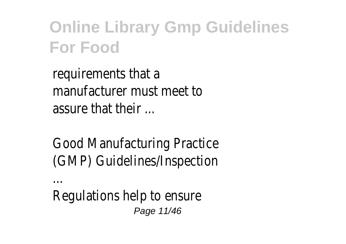requirements that a manufacturer must meet to assure that their ...

Good Manufacturing Practice (GMP) Guidelines/Inspection

...

Regulations help to ensure Page 11/46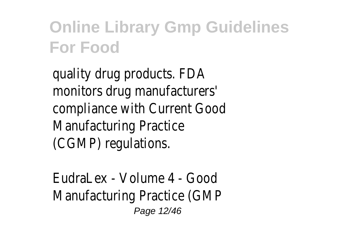quality drug products. FDA monitors drug manufacturers' compliance with Current Good Manufacturing Practice (CGMP) regulations.

EudraLex - Volume 4 - Good Manufacturing Practice (GMP Page 12/46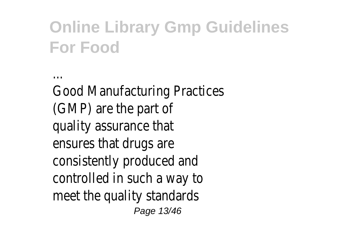Good Manufacturing Practices (GMP) are the part of quality assurance that ensures that drugs are consistently produced and controlled in such a way to meet the quality standards Page 13/46

...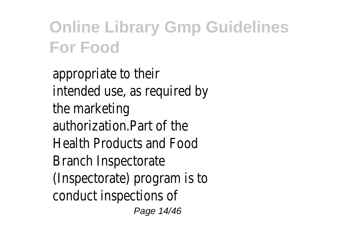appropriate to their intended use, as required by the marketing authorization.Part of the Health Products and Food Branch Inspectorate (Inspectorate) program is to conduct inspections of Page 14/46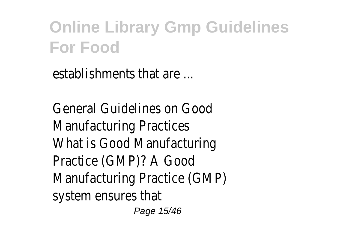establishments that are ...

General Guidelines on Good Manufacturing Practices What is Good Manufacturing Practice (GMP)? A Good Manufacturing Practice (GMP) system ensures that

Page 15/46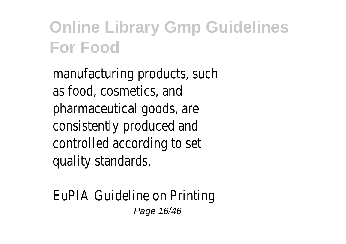manufacturing products, such as food, cosmetics, and pharmaceutical goods, are consistently produced and controlled according to set quality standards.

EuPIA Guideline on Printing Page 16/46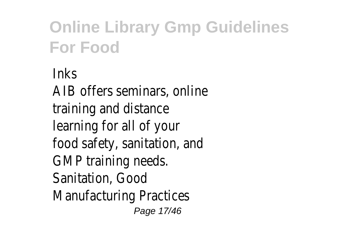**Inks** AIB offers seminars, online training and distance learning for all of your food safety, sanitation, and GMP training needs. Sanitation, Good Manufacturing Practices Page 17/46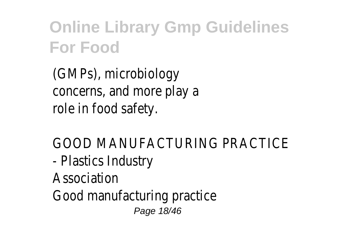(GMPs), microbiology concerns, and more play a role in food safety.

GOOD MANUFACTURING PRACTICE - Plastics Industry Association Good manufacturing practice Page 18/46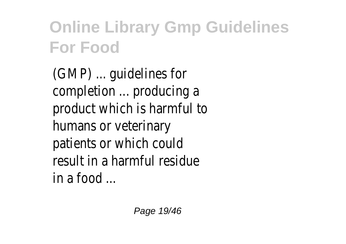(GMP) ... guidelines for completion ... producing a product which is harmful to humans or veterinary patients or which could result in a harmful residue in a food ...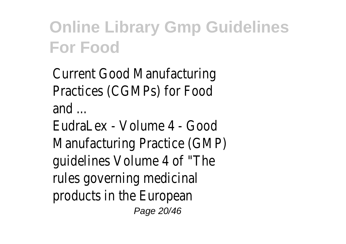Current Good Manufacturing Practices (CGMPs) for Food and ... EudraLex - Volume 4 - Good Manufacturing Practice (GMP)

guidelines Volume 4 of "The rules governing medicinal products in the European

Page 20/46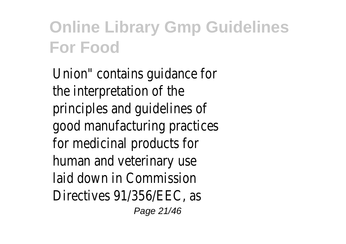Union" contains guidance for the interpretation of the principles and guidelines of good manufacturing practices for medicinal products for human and veterinary use laid down in Commission Directives 91/356/EEC, as Page 21/46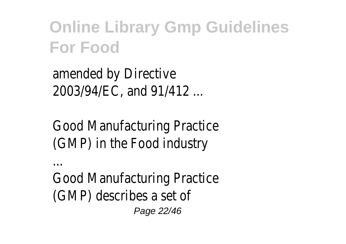amended by Directive 2003/94/EC, and 91/412 ...

Good Manufacturing Practice (GMP) in the Food industry

...

Good Manufacturing Practice (GMP) describes a set of Page 22/46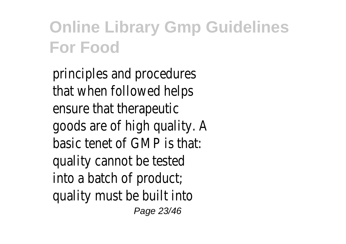principles and procedures that when followed helps ensure that therapeutic goods are of high quality. A basic tenet of GMP is that: quality cannot be tested into a batch of product; quality must be built into Page 23/46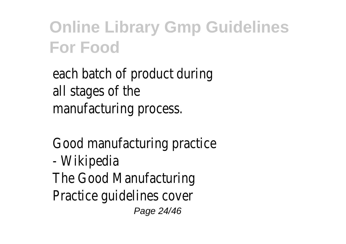each batch of product during all stages of the manufacturing process.

Good manufacturing practice - Wikipedia The Good Manufacturing Practice guidelines cover Page 24/46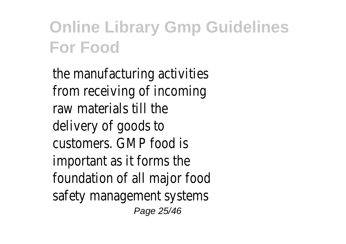the manufacturing activities from receiving of incoming raw materials till the delivery of goods to customers. GMP food is important as it forms the foundation of all major food safety management systems Page 25/46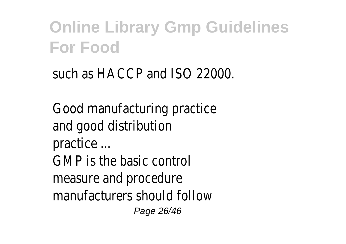such as HACCP and ISO 22000.

Good manufacturing practice and good distribution practice ... GMP is the basic control measure and procedure manufacturers should follow Page 26/46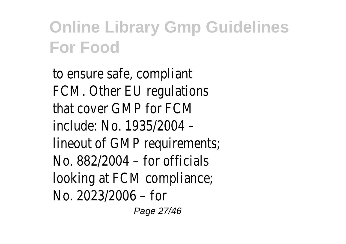to ensure safe, compliant FCM. Other EU regulations that cover GMP for FCM include: No. 1935/2004 – lineout of GMP requirements; No. 882/2004 – for officials looking at FCM compliance; No. 2023/2006 – for

Page 27/46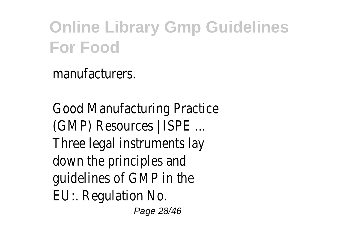manufacturers.

Good Manufacturing Practice (GMP) Resources | ISPE ... Three legal instruments lay down the principles and guidelines of GMP in the EU:. Regulation No.

Page 28/46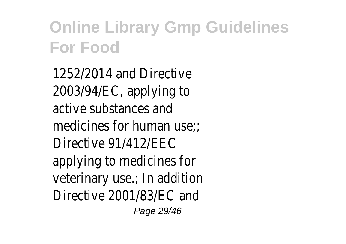1252/2014 and Directive 2003/94/EC, applying to active substances and medicines for human use: Directive 91/412/EEC applying to medicines for veterinary use.; In addition Directive 2001/83/EC and Page 29/46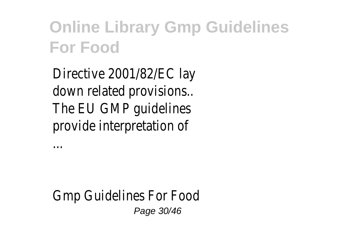Directive 2001/82/EC lay down related provisions.. The EU GMP guidelines provide interpretation of

...

Gmp Guidelines For Food Page 30/46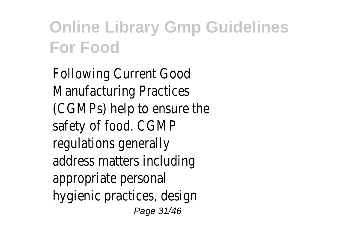Following Current Good Manufacturing Practices (CGMPs) help to ensure the safety of food. CGMP regulations generally address matters including appropriate personal hygienic practices, design Page 31/46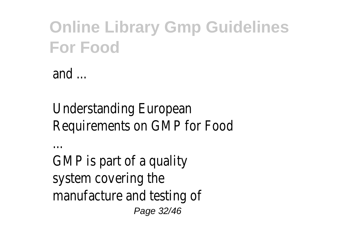and ...

#### Understanding European Requirements on GMP for Food

...

GMP is part of a quality system covering the manufacture and testing of Page 32/46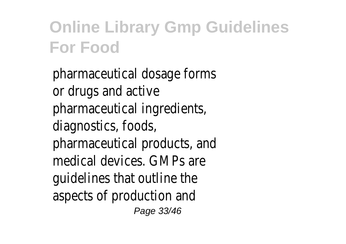pharmaceutical dosage forms or drugs and active pharmaceutical ingredients, diagnostics, foods, pharmaceutical products, and medical devices. GMPs are guidelines that outline the aspects of production and Page 33/46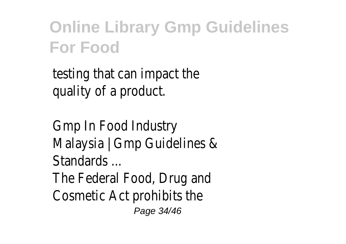testing that can impact the quality of a product.

Gmp In Food Industry Malaysia | Gmp Guidelines & Standards ... The Federal Food, Drug and Cosmetic Act prohibits the Page 34/46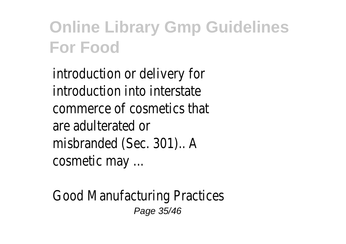introduction or delivery for introduction into interstate commerce of cosmetics that are adulterated or misbranded (Sec. 301).. A cosmetic may ...

Good Manufacturing Practices Page 35/46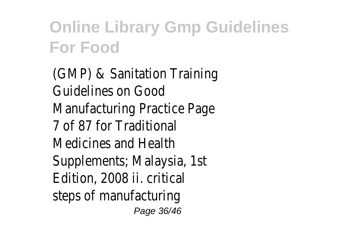(GMP) & Sanitation Training Guidelines on Good Manufacturing Practice Page 7 of 87 for Traditional Medicines and Health Supplements; Malaysia, 1st Edition, 2008 ii. critical steps of manufacturing Page 36/46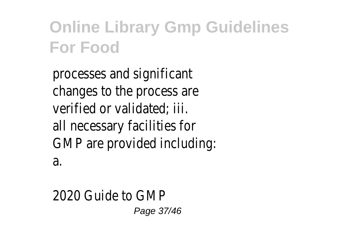processes and significant changes to the process are verified or validated; iii. all necessary facilities for GMP are provided including: a.

2020 Guide to GMP Page 37/46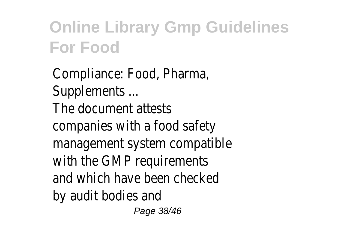Compliance: Food, Pharma, Supplements ... The document attests companies with a food safety management system compatible with the GMP requirements and which have been checked by audit bodies and

Page 38/46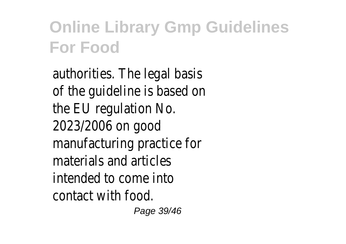authorities. The legal basis of the guideline is based on the EU regulation No. 2023/2006 on good manufacturing practice for materials and articles intended to come into contact with food.

Page 39/46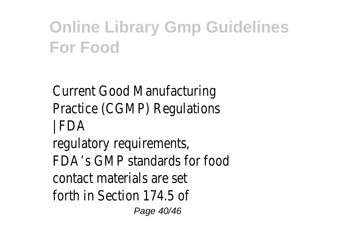Current Good Manufacturing Practice (CGMP) Regulations | FDA regulatory requirements, FDA's GMP standards for food contact materials are set forth in Section 174.5 of

Page 40/46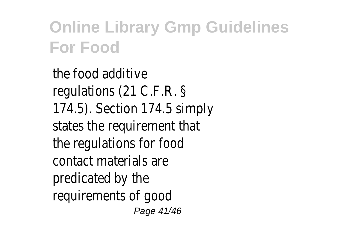the food additive regulations (21 C.F.R. § 174.5). Section 174.5 simply states the requirement that the regulations for food contact materials are predicated by the requirements of good Page 41/46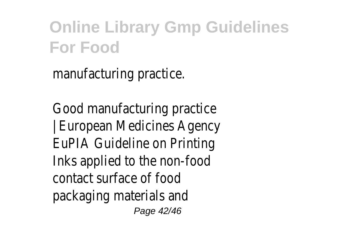manufacturing practice.

Good manufacturing practice | European Medicines Agency EuPIA Guideline on Printing Inks applied to the non-food contact surface of food packaging materials and

Page 42/46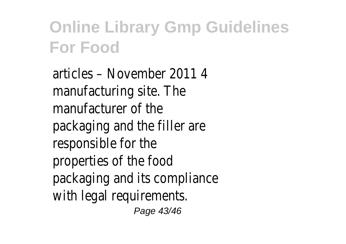articles – November 2011 4 manufacturing site. The manufacturer of the packaging and the filler are responsible for the properties of the food packaging and its compliance with legal requirements.

Page 43/46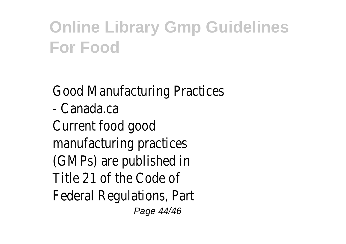Good Manufacturing Practices - Canada.ca Current food good manufacturing practices (GMPs) are published in Title 21 of the Code of Federal Regulations, Part Page 44/46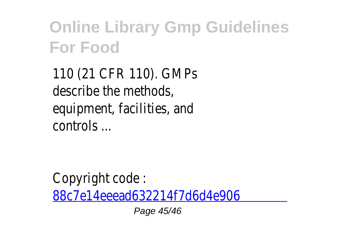110 (21 CFR 110). GMPs describe the methods, equipment, facilities, and controls ...

Copyright code : [88c7e14eeead632214f7d6d4e906](/search-book/88c7e14eeead632214f7d6d4e906d562)

Page 45/46